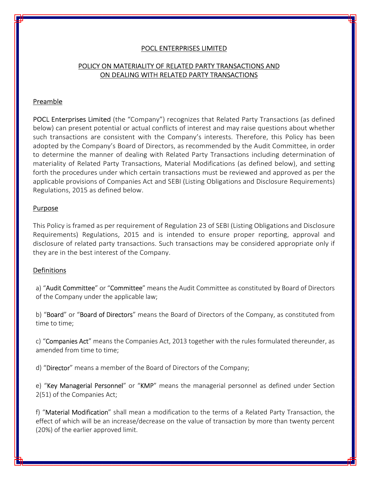# POCL ENTERPRISES LIMITED

# POLICY ON MATERIALITY OF RELATED PARTY TRANSACTIONS AND ON DEALING WITH RELATED PARTY TRANSACTIONS

## Preamble

POCL Enterprises Limited (the "Company") recognizes that Related Party Transactions (as defined below) can present potential or actual conflicts of interest and may raise questions about whether such transactions are consistent with the Company's interests. Therefore, this Policy has been adopted by the Company's Board of Directors, as recommended by the Audit Committee, in order to determine the manner of dealing with Related Party Transactions including determination of materiality of Related Party Transactions, Material Modifications (as defined below), and setting forth the procedures under which certain transactions must be reviewed and approved as per the applicable provisions of Companies Act and SEBI (Listing Obligations and Disclosure Requirements) Regulations, 2015 as defined below.

#### **Purpose**

This Policy is framed as per requirement of Regulation 23 of SEBI (Listing Obligations and Disclosure Requirements) Regulations, 2015 and is intended to ensure proper reporting, approval and disclosure of related party transactions. Such transactions may be considered appropriate only if they are in the best interest of the Company.

### Definitions

a) "Audit Committee" or "Committee" means the Audit Committee as constituted by Board of Directors of the Company under the applicable law;

b) "Board" or "Board of Directors" means the Board of Directors of the Company, as constituted from time to time;

c) "Companies Act" means the Companies Act, 2013 together with the rules formulated thereunder, as amended from time to time;

d) "Director" means a member of the Board of Directors of the Company;

e) "Key Managerial Personnel" or "KMP" means the managerial personnel as defined under Section 2(51) of the Companies Act;

f) "Material Modification" shall mean a modification to the terms of a Related Party Transaction, the effect of which will be an increase/decrease on the value of transaction by more than twenty percent (20%) of the earlier approved limit.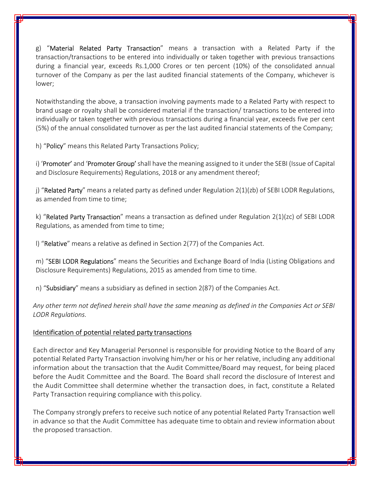g) "**Material Related Party Transaction**" means a transaction with a Related Party if the transaction/transactions to be entered into individually or taken together with previous transactions during a financial year, exceeds Rs.1,000 Crores or ten percent (10%) of the consolidated annual turnover of the Company as per the last audited financial statements of the Company, whichever is lower;

Notwithstanding the above, a transaction involving payments made to a Related Party with respect to brand usage or royalty shall be considered material if the transaction/ transactions to be entered into individually or taken together with previous transactions during a financial year, exceeds five per cent (5%) of the annual consolidated turnover as per the last audited financial statements of the Company;

h) "Policy" means this Related Party Transactions Policy;

i) 'Promoter' and 'Promoter Group' shall have the meaning assigned to it under the SEBI (Issue of Capital and Disclosure Requirements) Regulations, 2018 or any amendment thereof;

j) "Related Party" means a related party as defined under Regulation  $2(1)(zb)$  of SEBI LODR Regulations, as amended from time to time;

k) "Related Party Transaction" means a transaction as defined under Regulation  $2(1)(zc)$  of SEBI LODR Regulations, as amended from time to time;

l) "Relative" means a relative as defined in Section 2(77) of the Companies Act.

m) "SEBI LODR Regulations" means the Securities and Exchange Board of India (Listing Obligations and Disclosure Requirements) Regulations, 2015 as amended from time to time.

n) "Subsidiary" means a subsidiary as defined in section 2(87) of the Companies Act.

Any other term not defined herein shall have the same meaning as defined in the Companies Act or SEBI LODR Regulations.

## Identification of potential related party transactions

Each director and Key Managerial Personnel is responsible for providing Notice to the Board of any potential Related Party Transaction involving him/her or his or her relative, including any additional information about the transaction that the Audit Committee/Board may request, for being placed before the Audit Committee and the Board. The Board shall record the disclosure of Interest and the Audit Committee shall determine whether the transaction does, in fact, constitute a Related Party Transaction requiring compliance with this policy.

The Company strongly prefers to receive such notice of any potential Related Party Transaction well in advance so that the Audit Committee has adequate time to obtain and review information about the proposed transaction.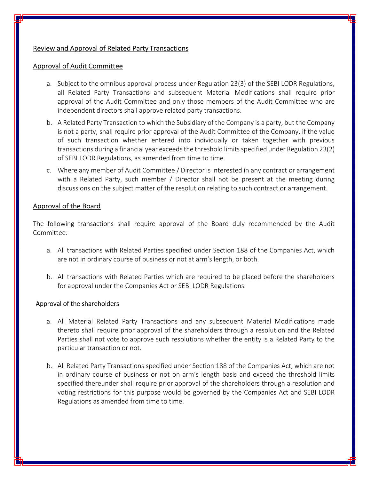# Review and Approval of Related Party Transactions

## Approval of Audit Committee

- a. Subject to the omnibus approval process under Regulation 23(3) of the SEBI LODR Regulations, all Related Party Transactions and subsequent Material Modifications shall require prior approval of the Audit Committee and only those members of the Audit Committee who are independent directors shall approve related party transactions.
- b. A Related Party Transaction to which the Subsidiary of the Company is a party, but the Company is not a party, shall require prior approval of the Audit Committee of the Company, if the value of such transaction whether entered into individually or taken together with previous transactions during a financial year exceeds the threshold limits specified under Regulation 23(2) of SEBI LODR Regulations, as amended from time to time.
- c. Where any member of Audit Committee / Director is interested in any contract or arrangement with a Related Party, such member / Director shall not be present at the meeting during discussions on the subject matter of the resolution relating to such contract or arrangement.

# Approval of the Board

The following transactions shall require approval of the Board duly recommended by the Audit Committee:

- a. All transactions with Related Parties specified under Section 188 of the Companies Act, which are not in ordinary course of business or not at arm's length, or both.
- b. All transactions with Related Parties which are required to be placed before the shareholders for approval under the Companies Act or SEBI LODR Regulations.

## Approval of the shareholders

- a. All Material Related Party Transactions and any subsequent Material Modifications made thereto shall require prior approval of the shareholders through a resolution and the Related Parties shall not vote to approve such resolutions whether the entity is a Related Party to the particular transaction or not.
- b. All Related Party Transactions specified under Section 188 of the Companies Act, which are not in ordinary course of business or not on arm's length basis and exceed the threshold limits specified thereunder shall require prior approval of the shareholders through a resolution and voting restrictions for this purpose would be governed by the Companies Act and SEBI LODR Regulations as amended from time to time.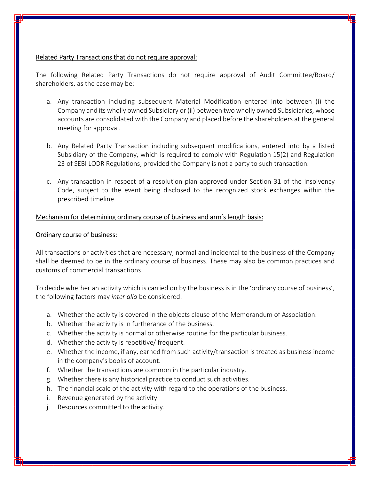# Related Party Transactions that do not require approval:

The following Related Party Transactions do not require approval of Audit Committee/Board/ shareholders, as the case may be:

- a. Any transaction including subsequent Material Modification entered into between (i) the Company and its wholly owned Subsidiary or (ii) between two wholly owned Subsidiaries, whose accounts are consolidated with the Company and placed before the shareholders at the general meeting for approval.
- b. Any Related Party Transaction including subsequent modifications, entered into by a listed Subsidiary of the Company, which is required to comply with Regulation 15(2) and Regulation 23 of SEBI LODR Regulations, provided the Company is not a party to such transaction.
- c. Any transaction in respect of a resolution plan approved under Section 31 of the Insolvency Code, subject to the event being disclosed to the recognized stock exchanges within the prescribed timeline.

# Mechanism for determining ordinary course of business and arm's length basis:

## Ordinary course of business:

All transactions or activities that are necessary, normal and incidental to the business of the Company shall be deemed to be in the ordinary course of business. These may also be common practices and customs of commercial transactions.

To decide whether an activity which is carried on by the business is in the 'ordinary course of business', the following factors may inter alia be considered:

- a. Whether the activity is covered in the objects clause of the Memorandum of Association.
- b. Whether the activity is in furtherance of the business.
- c. Whether the activity is normal or otherwise routine for the particular business.
- d. Whether the activity is repetitive/ frequent.
- e. Whether the income, if any, earned from such activity/transaction is treated as business income in the company's books of account.
- f. Whether the transactions are common in the particular industry.
- g. Whether there is any historical practice to conduct such activities.
- h. The financial scale of the activity with regard to the operations of the business.
- i. Revenue generated by the activity.
- j. Resources committed to the activity.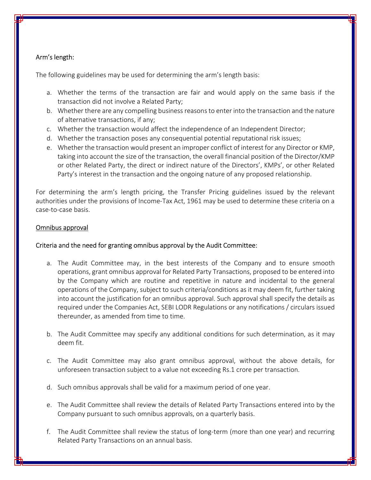# Arm's length:

The following guidelines may be used for determining the arm's length basis:

- a. Whether the terms of the transaction are fair and would apply on the same basis if the transaction did not involve a Related Party;
- b. Whether there are any compelling business reasons to enter into the transaction and the nature of alternative transactions, if any;
- c. Whether the transaction would affect the independence of an Independent Director;
- d. Whether the transaction poses any consequential potential reputational risk issues;
- e. Whether the transaction would present an improper conflict of interest for any Director or KMP, taking into account the size of the transaction, the overall financial position of the Director/KMP or other Related Party, the direct or indirect nature of the Directors', KMPs', or other Related Party's interest in the transaction and the ongoing nature of any proposed relationship.

For determining the arm's length pricing, the Transfer Pricing guidelines issued by the relevant authorities under the provisions of Income-Tax Act, 1961 may be used to determine these criteria on a case-to-case basis.

## Omnibus approval

## Criteria and the need for granting omnibus approval by the Audit Committee:

- a. The Audit Committee may, in the best interests of the Company and to ensure smooth operations, grant omnibus approval for Related Party Transactions, proposed to be entered into by the Company which are routine and repetitive in nature and incidental to the general operations of the Company, subject to such criteria/conditions as it may deem fit, further taking into account the justification for an omnibus approval. Such approval shall specify the details as required under the Companies Act, SEBI LODR Regulations or any notifications / circulars issued thereunder, as amended from time to time.
- b. The Audit Committee may specify any additional conditions for such determination, as it may deem fit.
- c. The Audit Committee may also grant omnibus approval, without the above details, for unforeseen transaction subject to a value not exceeding Rs.1 crore per transaction.
- d. Such omnibus approvals shall be valid for a maximum period of one year.
- e. The Audit Committee shall review the details of Related Party Transactions entered into by the Company pursuant to such omnibus approvals, on a quarterly basis.
- f. The Audit Committee shall review the status of long-term (more than one year) and recurring Related Party Transactions on an annual basis.